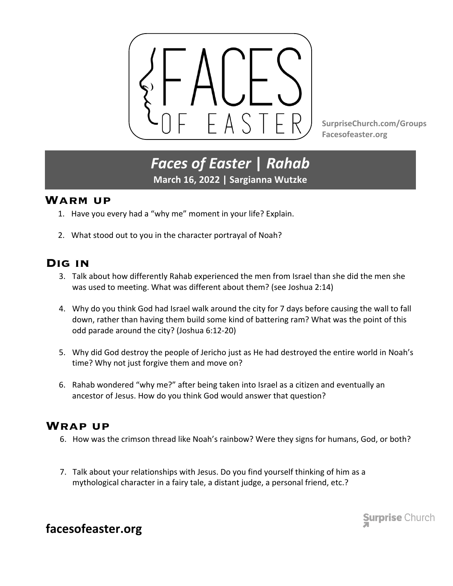

**SurpriseChurch.com/Groups Facesofeaster.org**

# *Faces of Easter* **|** *Rahab* **March 16, 2022 | Sargianna Wutzke**

#### **Warm up**

- 1. Have you every had a "why me" moment in your life? Explain.
- 2. What stood out to you in the character portrayal of Noah?

### **Dig in**

- 3. Talk about how differently Rahab experienced the men from Israel than she did the men she was used to meeting. What was different about them? (see Joshua 2:14)
- 4. Why do you think God had Israel walk around the city for 7 days before causing the wall to fall down, rather than having them build some kind of battering ram? What was the point of this odd parade around the city? (Joshua 6:12-20)
- 5. Why did God destroy the people of Jericho just as He had destroyed the entire world in Noah's time? Why not just forgive them and move on?
- 6. Rahab wondered "why me?" after being taken into Israel as a citizen and eventually an ancestor of Jesus. How do you think God would answer that question?

#### **Wrap up**

- 6. How was the crimson thread like Noah's rainbow? Were they signs for humans, God, or both?
- 7. Talk about your relationships with Jesus. Do you find yourself thinking of him as a mythological character in a fairy tale, a distant judge, a personal friend, etc.?

**Surprise Church** 

## **facesofeaster.org**